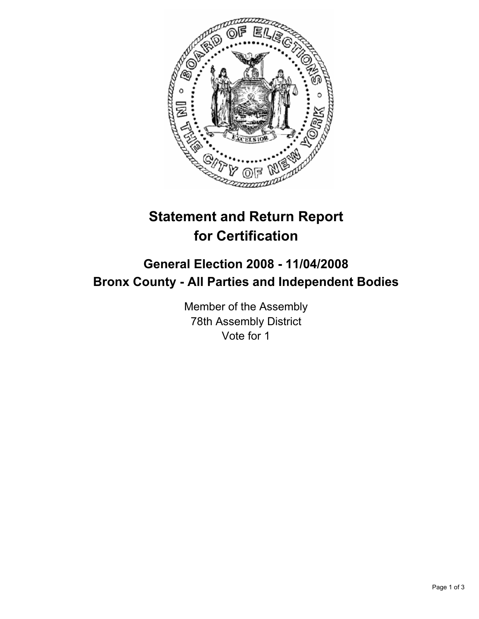

## **Statement and Return Report for Certification**

## **General Election 2008 - 11/04/2008 Bronx County - All Parties and Independent Bodies**

Member of the Assembly 78th Assembly District Vote for 1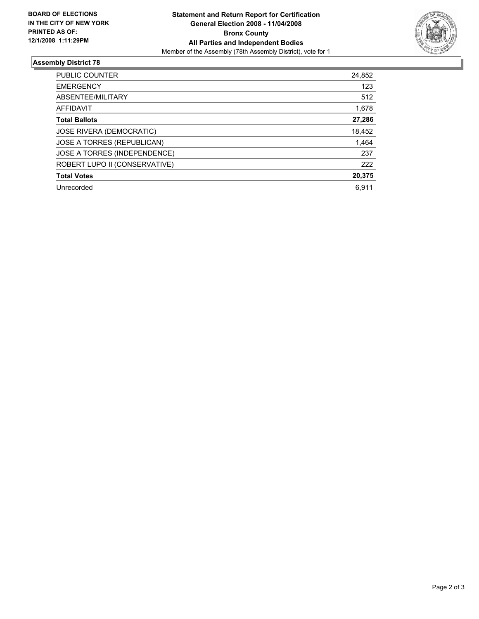

## **Assembly District 78**

| PUBLIC COUNTER                  | 24,852 |
|---------------------------------|--------|
| <b>EMERGENCY</b>                | 123    |
| ABSENTEE/MILITARY               | 512    |
| AFFIDAVIT                       | 1,678  |
| <b>Total Ballots</b>            | 27,286 |
| <b>JOSE RIVERA (DEMOCRATIC)</b> | 18,452 |
| JOSE A TORRES (REPUBLICAN)      | 1,464  |
| JOSE A TORRES (INDEPENDENCE)    | 237    |
| ROBERT LUPO II (CONSERVATIVE)   | 222    |
| <b>Total Votes</b>              | 20,375 |
| Unrecorded                      | 6.911  |